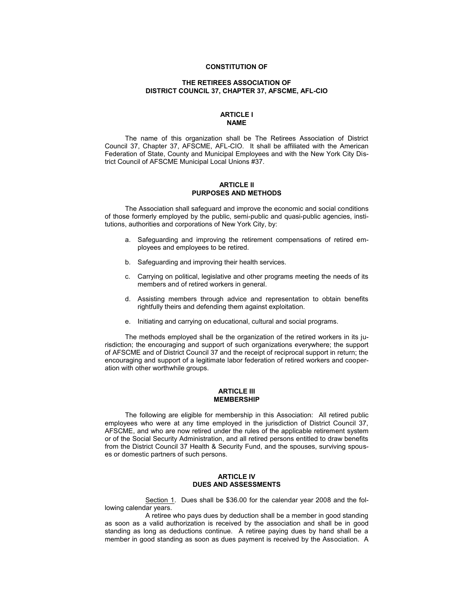### **CONSTITUTION OF**

# **THE RETIREES ASSOCIATION OF DISTRICT COUNCIL 37, CHAPTER 37, AFSCME, AFL-CIO**

## **ARTICLE I NAME**

The name of this organization shall be The Retirees Association of District Council 37, Chapter 37, AFSCME, AFL-CIO. It shall be affiliated with the American Federation of State, County and Municipal Employees and with the New York City District Council of AFSCME Municipal Local Unions #37.

## **ARTICLE II PURPOSES AND METHODS**

The Association shall safeguard and improve the economic and social conditions of those formerly employed by the public, semi-public and quasi-public agencies, institutions, authorities and corporations of New York City, by:

- a. Safeguarding and improving the retirement compensations of retired employees and employees to be retired.
- b. Safeguarding and improving their health services.
- c. Carrying on political, legislative and other programs meeting the needs of its members and of retired workers in general.
- d. Assisting members through advice and representation to obtain benefits rightfully theirs and defending them against exploitation.
- e. Initiating and carrying on educational, cultural and social programs.

The methods employed shall be the organization of the retired workers in its jurisdiction; the encouraging and support of such organizations everywhere; the support of AFSCME and of District Council 37 and the receipt of reciprocal support in return; the encouraging and support of a legitimate labor federation of retired workers and cooperation with other worthwhile groups.

### **ARTICLE III MEMBERSHIP**

The following are eligible for membership in this Association: All retired public employees who were at any time employed in the jurisdiction of District Council 37, AFSCME, and who are now retired under the rules of the applicable retirement system or of the Social Security Administration, and all retired persons entitled to draw benefits from the District Council 37 Health & Security Fund, and the spouses, surviving spouses or domestic partners of such persons.

# **ARTICLE IV DUES AND ASSESSMENTS**

Section 1. Dues shall be \$36.00 for the calendar year 2008 and the following calendar years.

A retiree who pays dues by deduction shall be a member in good standing as soon as a valid authorization is received by the association and shall be in good standing as long as deductions continue. A retiree paying dues by hand shall be a member in good standing as soon as dues payment is received by the Association. A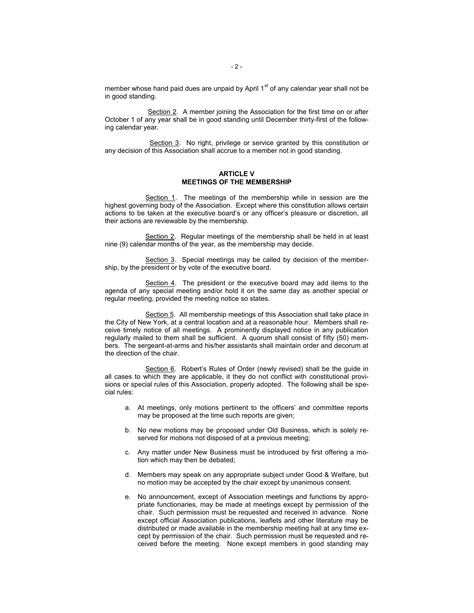member whose hand paid dues are unpaid by April  $1<sup>st</sup>$  of any calendar year shall not be in good standing.

Section 2. A member joining the Association for the first time on or after October 1 of any year shall be in good standing until December thirty-first of the following calendar year.

 Section 3. No right, privilege or service granted by this constitution or any decision of this Association shall accrue to a member not in good standing.

# **ARTICLE V MEETINGS OF THE MEMBERSHIP**

Section 1. The meetings of the membership while in session are the highest governing body of the Association. Except where this constitution allows certain actions to be taken at the executive board's or any officer's pleasure or discretion, all their actions are reviewable by the membership.

Section 2. Regular meetings of the membership shall be held in at least nine (9) calendar months of the year, as the membership may decide.

Section 3. Special meetings may be called by decision of the membership, by the president or by vote of the executive board.

Section 4. The president or the executive board may add items to the agenda of any special meeting and/or hold it on the same day as another special or regular meeting, provided the meeting notice so states.

Section 5. All membership meetings of this Association shall take place in the City of New York, at a central location and at a reasonable hour. Members shall receive timely notice of all meetings. A prominently displayed notice in any publication regularly mailed to them shall be sufficient. A quorum shall consist of fifty (50) members. The sergeant-at-arms and his/her assistants shall maintain order and decorum at the direction of the chair.

Section 6. Robert's Rules of Order (newly revised) shall be the guide in all cases to which they are applicable, it they do not conflict with constitutional provisions or special rules of this Association, properly adopted. The following shall be special rules:

- a. At meetings, only motions pertinent to the officers' and committee reports may be proposed at the time such reports are given;
- b. No new motions may be proposed under Old Business, which is solely reserved for motions not disposed of at a previous meeting;
- c. Any matter under New Business must be introduced by first offering a motion which may then be debated;
- d. Members may speak on any appropriate subject under Good & Welfare, but no motion may be accepted by the chair except by unanimous consent.
- e. No announcement, except of Association meetings and functions by appropriate functionaries, may be made at meetings except by permission of the chair. Such permission must be requested and received in advance. None except official Association publications, leaflets and other literature may be distributed or made available in the membership meeting hall at any time except by permission of the chair. Such permission must be requested and received before the meeting. None except members in good standing may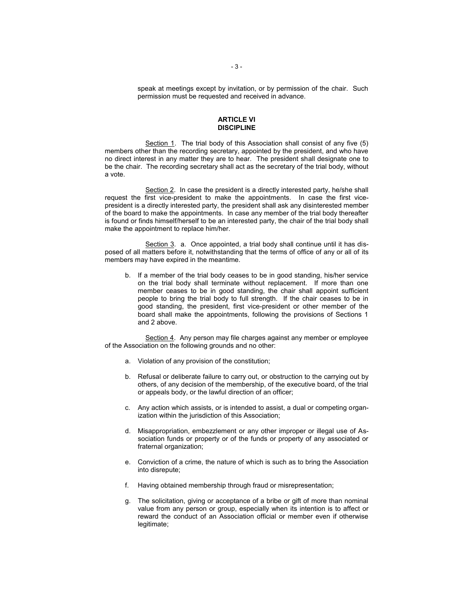speak at meetings except by invitation, or by permission of the chair. Such permission must be requested and received in advance.

# **ARTICLE VI DISCIPLINE**

Section 1. The trial body of this Association shall consist of any five (5) members other than the recording secretary, appointed by the president, and who have no direct interest in any matter they are to hear. The president shall designate one to be the chair. The recording secretary shall act as the secretary of the trial body, without a vote.

Section 2. In case the president is a directly interested party, he/she shall request the first vice-president to make the appointments. In case the first vicepresident is a directly interested party, the president shall ask any disinterested member of the board to make the appointments. In case any member of the trial body thereafter is found or finds himself/herself to be an interested party, the chair of the trial body shall make the appointment to replace him/her.

Section 3. a. Once appointed, a trial body shall continue until it has disposed of all matters before it, notwithstanding that the terms of office of any or all of its members may have expired in the meantime.

b. If a member of the trial body ceases to be in good standing, his/her service on the trial body shall terminate without replacement. If more than one member ceases to be in good standing, the chair shall appoint sufficient people to bring the trial body to full strength. If the chair ceases to be in good standing, the president, first vice-president or other member of the board shall make the appointments, following the provisions of Sections 1 and 2 above.

Section 4. Any person may file charges against any member or employee of the Association on the following grounds and no other:

- a. Violation of any provision of the constitution;
- b. Refusal or deliberate failure to carry out, or obstruction to the carrying out by others, of any decision of the membership, of the executive board, of the trial or appeals body, or the lawful direction of an officer;
- c. Any action which assists, or is intended to assist, a dual or competing organization within the jurisdiction of this Association;
- d. Misappropriation, embezzlement or any other improper or illegal use of Association funds or property or of the funds or property of any associated or fraternal organization;
- e. Conviction of a crime, the nature of which is such as to bring the Association into disrepute;
- f. Having obtained membership through fraud or misrepresentation;
- g. The solicitation, giving or acceptance of a bribe or gift of more than nominal value from any person or group, especially when its intention is to affect or reward the conduct of an Association official or member even if otherwise legitimate;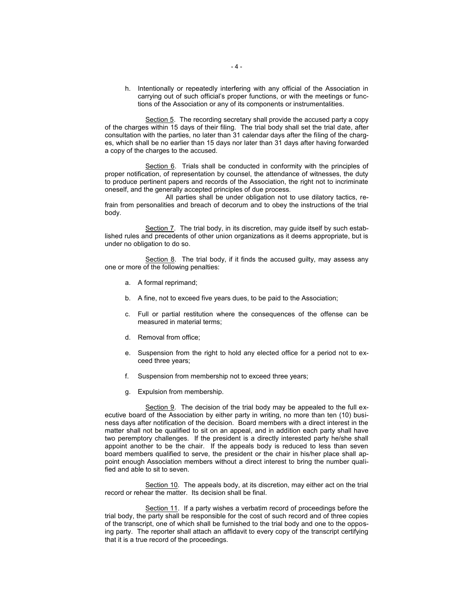h. Intentionally or repeatedly interfering with any official of the Association in carrying out of such official's proper functions, or with the meetings or functions of the Association or any of its components or instrumentalities.

Section 5. The recording secretary shall provide the accused party a copy of the charges within 15 days of their filing. The trial body shall set the trial date, after consultation with the parties, no later than 31 calendar days after the filing of the charges, which shall be no earlier than 15 days nor later than 31 days after having forwarded a copy of the charges to the accused.

Section 6. Trials shall be conducted in conformity with the principles of proper notification, of representation by counsel, the attendance of witnesses, the duty to produce pertinent papers and records of the Association, the right not to incriminate oneself, and the generally accepted principles of due process.

All parties shall be under obligation not to use dilatory tactics, refrain from personalities and breach of decorum and to obey the instructions of the trial body.

Section 7. The trial body, in its discretion, may guide itself by such established rules and precedents of other union organizations as it deems appropriate, but is under no obligation to do so.

Section 8. The trial body, if it finds the accused guilty, may assess any one or more of the following penalties:

- a. A formal reprimand;
- b. A fine, not to exceed five years dues, to be paid to the Association;
- c. Full or partial restitution where the consequences of the offense can be measured in material terms;
- d. Removal from office;
- e. Suspension from the right to hold any elected office for a period not to exceed three years;
- f. Suspension from membership not to exceed three years;
- g. Expulsion from membership.

Section 9. The decision of the trial body may be appealed to the full executive board of the Association by either party in writing, no more than ten (10) business days after notification of the decision. Board members with a direct interest in the matter shall not be qualified to sit on an appeal, and in addition each party shall have two peremptory challenges. If the president is a directly interested party he/she shall appoint another to be the chair. If the appeals body is reduced to less than seven board members qualified to serve, the president or the chair in his/her place shall appoint enough Association members without a direct interest to bring the number qualified and able to sit to seven.

Section 10. The appeals body, at its discretion, may either act on the trial record or rehear the matter. Its decision shall be final.

Section 11. If a party wishes a verbatim record of proceedings before the trial body, the party shall be responsible for the cost of such record and of three copies of the transcript, one of which shall be furnished to the trial body and one to the opposing party. The reporter shall attach an affidavit to every copy of the transcript certifying that it is a true record of the proceedings.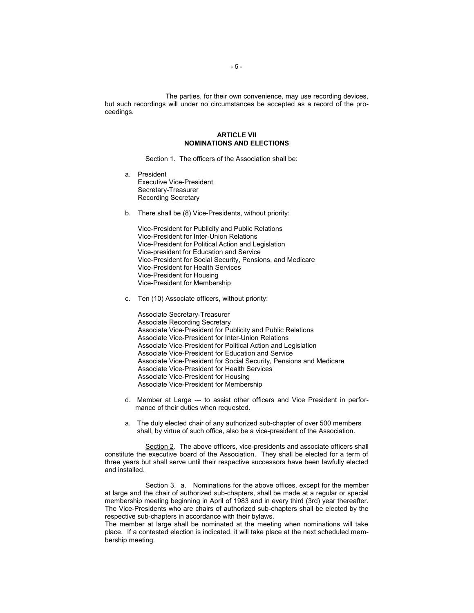The parties, for their own convenience, may use recording devices, but such recordings will under no circumstances be accepted as a record of the proceedings.

# **ARTICLE VII NOMINATIONS AND ELECTIONS**

Section 1. The officers of the Association shall be:

- a. President Executive Vice-President Secretary-Treasurer Recording Secretary
- b. There shall be (8) Vice-Presidents, without priority:

Vice-President for Publicity and Public Relations Vice-President for Inter-Union Relations Vice-President for Political Action and Legislation Vice-president for Education and Service Vice-President for Social Security, Pensions, and Medicare Vice-President for Health Services Vice-President for Housing Vice-President for Membership

c. Ten (10) Associate officers, without priority:

Associate Secretary-Treasurer Associate Recording Secretary Associate Vice-President for Publicity and Public Relations Associate Vice-President for Inter-Union Relations Associate Vice-President for Political Action and Legislation Associate Vice-President for Education and Service Associate Vice-President for Social Security, Pensions and Medicare Associate Vice-President for Health Services Associate Vice-President for Housing Associate Vice-President for Membership

- d. Member at Large --- to assist other officers and Vice President in performance of their duties when requested.
- a. The duly elected chair of any authorized sub-chapter of over 500 members shall, by virtue of such office, also be a vice-president of the Association.

Section 2. The above officers, vice-presidents and associate officers shall constitute the executive board of the Association. They shall be elected for a term of three years but shall serve until their respective successors have been lawfully elected and installed.

Section 3. a. Nominations for the above offices, except for the member at large and the chair of authorized sub-chapters, shall be made at a regular or special membership meeting beginning in April of 1983 and in every third (3rd) year thereafter. The Vice-Presidents who are chairs of authorized sub-chapters shall be elected by the respective sub-chapters in accordance with their bylaws.

The member at large shall be nominated at the meeting when nominations will take place. If a contested election is indicated, it will take place at the next scheduled membership meeting.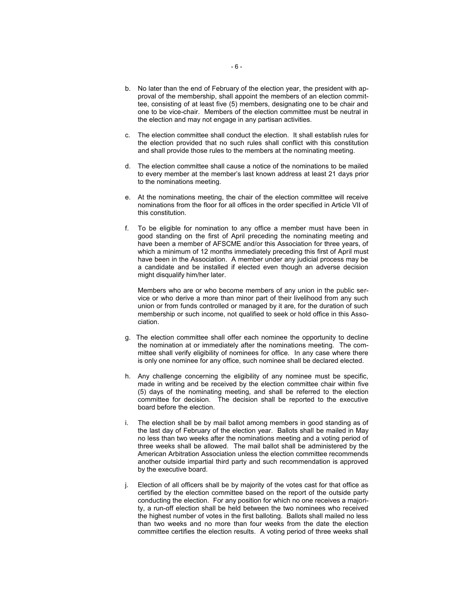- b. No later than the end of February of the election year, the president with approval of the membership, shall appoint the members of an election committee, consisting of at least five (5) members, designating one to be chair and one to be vice-chair. Members of the election committee must be neutral in the election and may not engage in any partisan activities.
- c. The election committee shall conduct the election. It shall establish rules for the election provided that no such rules shall conflict with this constitution and shall provide those rules to the members at the nominating meeting.
- d. The election committee shall cause a notice of the nominations to be mailed to every member at the member's last known address at least 21 days prior to the nominations meeting.
- e. At the nominations meeting, the chair of the election committee will receive nominations from the floor for all offices in the order specified in Article VII of this constitution.
- f. To be eligible for nomination to any office a member must have been in good standing on the first of April preceding the nominating meeting and have been a member of AFSCME and/or this Association for three years, of which a minimum of 12 months immediately preceding this first of April must have been in the Association. A member under any judicial process may be a candidate and be installed if elected even though an adverse decision might disqualify him/her later.

Members who are or who become members of any union in the public service or who derive a more than minor part of their livelihood from any such union or from funds controlled or managed by it are, for the duration of such membership or such income, not qualified to seek or hold office in this Association.

- g. The election committee shall offer each nominee the opportunity to decline the nomination at or immediately after the nominations meeting. The committee shall verify eligibility of nominees for office. In any case where there is only one nominee for any office, such nominee shall be declared elected.
- h. Any challenge concerning the eligibility of any nominee must be specific, made in writing and be received by the election committee chair within five (5) days of the nominating meeting, and shall be referred to the election committee for decision. The decision shall be reported to the executive board before the election.
- i. The election shall be by mail ballot among members in good standing as of the last day of February of the election year. Ballots shall be mailed in May no less than two weeks after the nominations meeting and a voting period of three weeks shall be allowed. The mail ballot shall be administered by the American Arbitration Association unless the election committee recommends another outside impartial third party and such recommendation is approved by the executive board.
- j. Election of all officers shall be by majority of the votes cast for that office as certified by the election committee based on the report of the outside party conducting the election. For any position for which no one receives a majority, a run-off election shall be held between the two nominees who received the highest number of votes in the first balloting. Ballots shall mailed no less than two weeks and no more than four weeks from the date the election committee certifies the election results. A voting period of three weeks shall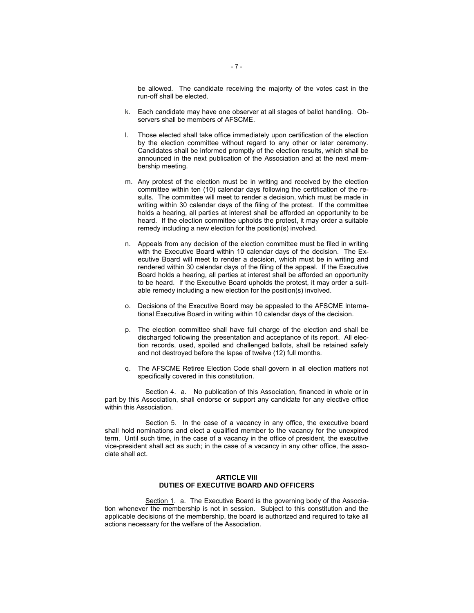be allowed. The candidate receiving the majority of the votes cast in the run-off shall be elected.

- k. Each candidate may have one observer at all stages of ballot handling. Observers shall be members of AFSCME.
- l. Those elected shall take office immediately upon certification of the election by the election committee without regard to any other or later ceremony. Candidates shall be informed promptly of the election results, which shall be announced in the next publication of the Association and at the next membership meeting.
- m. Any protest of the election must be in writing and received by the election committee within ten (10) calendar days following the certification of the results. The committee will meet to render a decision, which must be made in writing within 30 calendar days of the filing of the protest. If the committee holds a hearing, all parties at interest shall be afforded an opportunity to be heard. If the election committee upholds the protest, it may order a suitable remedy including a new election for the position(s) involved.
- n. Appeals from any decision of the election committee must be filed in writing with the Executive Board within 10 calendar days of the decision. The Executive Board will meet to render a decision, which must be in writing and rendered within 30 calendar days of the filing of the appeal. If the Executive Board holds a hearing, all parties at interest shall be afforded an opportunity to be heard. If the Executive Board upholds the protest, it may order a suitable remedy including a new election for the position(s) involved.
- o. Decisions of the Executive Board may be appealed to the AFSCME International Executive Board in writing within 10 calendar days of the decision.
- p. The election committee shall have full charge of the election and shall be discharged following the presentation and acceptance of its report. All election records, used, spoiled and challenged ballots, shall be retained safely and not destroyed before the lapse of twelve (12) full months.
- q. The AFSCME Retiree Election Code shall govern in all election matters not specifically covered in this constitution.

Section 4. a. No publication of this Association, financed in whole or in part by this Association, shall endorse or support any candidate for any elective office within this Association.

Section 5. In the case of a vacancy in any office, the executive board shall hold nominations and elect a qualified member to the vacancy for the unexpired term. Until such time, in the case of a vacancy in the office of president, the executive vice-president shall act as such; in the case of a vacancy in any other office, the associate shall act.

# **ARTICLE VIII DUTIES OF EXECUTIVE BOARD AND OFFICERS**

Section 1. a. The Executive Board is the governing body of the Association whenever the membership is not in session. Subject to this constitution and the applicable decisions of the membership, the board is authorized and required to take all actions necessary for the welfare of the Association.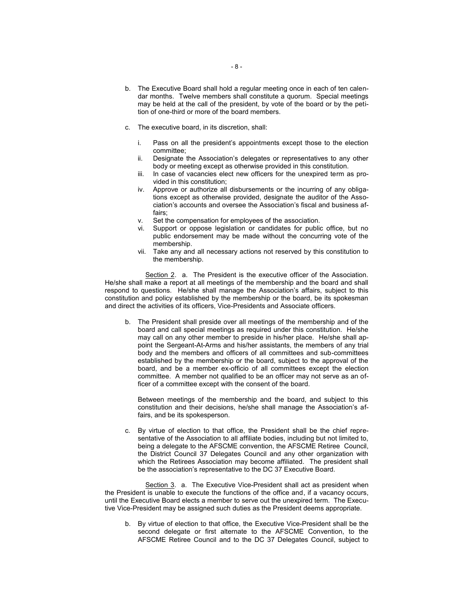- dar months. Twelve members shall constitute a quorum. Special meetings may be held at the call of the president, by vote of the board or by the petition of one-third or more of the board members.
- c. The executive board, in its discretion, shall:
	- i. Pass on all the president's appointments except those to the election committee;
	- ii. Designate the Association's delegates or representatives to any other body or meeting except as otherwise provided in this constitution.
	- iii. In case of vacancies elect new officers for the unexpired term as provided in this constitution;
	- iv. Approve or authorize all disbursements or the incurring of any obligations except as otherwise provided, designate the auditor of the Association's accounts and oversee the Association's fiscal and business affairs;
	- v. Set the compensation for employees of the association.<br>vi. Support or oppose legislation or candidates for public
	- Support or oppose legislation or candidates for public office, but no public endorsement may be made without the concurring vote of the membership.
	- vii. Take any and all necessary actions not reserved by this constitution to the membership.

Section 2. a. The President is the executive officer of the Association. He/she shall make a report at all meetings of the membership and the board and shall respond to questions. He/she shall manage the Association's affairs, subject to this constitution and policy established by the membership or the board, be its spokesman and direct the activities of its officers, Vice-Presidents and Associate officers.

b. The President shall preside over all meetings of the membership and of the board and call special meetings as required under this constitution. He/she may call on any other member to preside in his/her place. He/she shall appoint the Sergeant-At-Arms and his/her assistants, the members of any trial body and the members and officers of all committees and sub-committees established by the membership or the board, subject to the approval of the board, and be a member ex-officio of all committees except the election committee. A member not qualified to be an officer may not serve as an officer of a committee except with the consent of the board.

Between meetings of the membership and the board, and subject to this constitution and their decisions, he/she shall manage the Association's affairs, and be its spokesperson.

c. By virtue of election to that office, the President shall be the chief representative of the Association to all affiliate bodies, including but not limited to, being a delegate to the AFSCME convention, the AFSCME Retiree Council, the District Council 37 Delegates Council and any other organization with which the Retirees Association may become affiliated. The president shall be the association's representative to the DC 37 Executive Board.

Section 3. a. The Executive Vice-President shall act as president when the President is unable to execute the functions of the office and, if a vacancy occurs, until the Executive Board elects a member to serve out the unexpired term. The Executive Vice-President may be assigned such duties as the President deems appropriate.

b. By virtue of election to that office, the Executive Vice-President shall be the second delegate or first alternate to the AFSCME Convention, to the AFSCME Retiree Council and to the DC 37 Delegates Council, subject to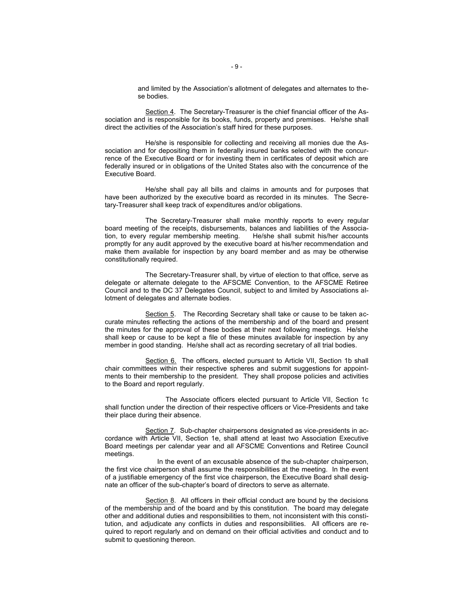and limited by the Association's allotment of delegates and alternates to these bodies.

Section 4. The Secretary-Treasurer is the chief financial officer of the Association and is responsible for its books, funds, property and premises. He/she shall direct the activities of the Association's staff hired for these purposes.

He/she is responsible for collecting and receiving all monies due the Association and for depositing them in federally insured banks selected with the concurrence of the Executive Board or for investing them in certificates of deposit which are federally insured or in obligations of the United States also with the concurrence of the Executive Board.

He/she shall pay all bills and claims in amounts and for purposes that have been authorized by the executive board as recorded in its minutes. The Secretary-Treasurer shall keep track of expenditures and/or obligations.

The Secretary-Treasurer shall make monthly reports to every regular board meeting of the receipts, disbursements, balances and liabilities of the Association, to every regular membership meeting. He/she shall submit his/her accounts promptly for any audit approved by the executive board at his/her recommendation and make them available for inspection by any board member and as may be otherwise constitutionally required.

The Secretary-Treasurer shall, by virtue of election to that office, serve as delegate or alternate delegate to the AFSCME Convention, to the AFSCME Retiree Council and to the DC 37 Delegates Council, subject to and limited by Associations allotment of delegates and alternate bodies.

Section 5. The Recording Secretary shall take or cause to be taken accurate minutes reflecting the actions of the membership and of the board and present the minutes for the approval of these bodies at their next following meetings. He/she shall keep or cause to be kept a file of these minutes available for inspection by any member in good standing. He/she shall act as recording secretary of all trial bodies.

Section 6. The officers, elected pursuant to Article VII, Section 1b shall chair committees within their respective spheres and submit suggestions for appointments to their membership to the president. They shall propose policies and activities to the Board and report regularly.

The Associate officers elected pursuant to Article VII, Section 1c shall function under the direction of their respective officers or Vice-Presidents and take their place during their absence.

Section 7. Sub-chapter chairpersons designated as vice-presidents in accordance with Article VII, Section 1e, shall attend at least two Association Executive Board meetings per calendar year and all AFSCME Conventions and Retiree Council meetings.

 In the event of an excusable absence of the sub-chapter chairperson, the first vice chairperson shall assume the responsibilities at the meeting. In the event of a justifiable emergency of the first vice chairperson, the Executive Board shall designate an officer of the sub-chapter's board of directors to serve as alternate.

Section 8. All officers in their official conduct are bound by the decisions of the membership and of the board and by this constitution. The board may delegate other and additional duties and responsibilities to them, not inconsistent with this constitution, and adjudicate any conflicts in duties and responsibilities. All officers are required to report regularly and on demand on their official activities and conduct and to submit to questioning thereon.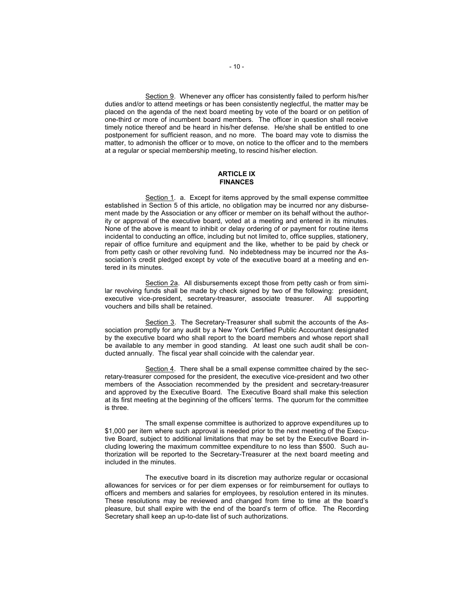Section 9. Whenever any officer has consistently failed to perform his/her duties and/or to attend meetings or has been consistently neglectful, the matter may be placed on the agenda of the next board meeting by vote of the board or on petition of one-third or more of incumbent board members. The officer in question shall receive timely notice thereof and be heard in his/her defense. He/she shall be entitled to one postponement for sufficient reason, and no more. The board may vote to dismiss the matter, to admonish the officer or to move, on notice to the officer and to the members at a regular or special membership meeting, to rescind his/her election.

## **ARTICLE IX FINANCES**

Section 1. a. Except for items approved by the small expense committee established in Section 5 of this article, no obligation may be incurred nor any disbursement made by the Association or any officer or member on its behalf without the authority or approval of the executive board, voted at a meeting and entered in its minutes. None of the above is meant to inhibit or delay ordering of or payment for routine items incidental to conducting an office, including but not limited to, office supplies, stationery, repair of office furniture and equipment and the like, whether to be paid by check or from petty cash or other revolving fund. No indebtedness may be incurred nor the Association's credit pledged except by vote of the executive board at a meeting and entered in its minutes.

Section 2a. All disbursements except those from petty cash or from similar revolving funds shall be made by check signed by two of the following: president, executive vice-president, secretary-treasurer, associate treasurer. All supporting vouchers and bills shall be retained.

Section 3. The Secretary-Treasurer shall submit the accounts of the Association promptly for any audit by a New York Certified Public Accountant designated by the executive board who shall report to the board members and whose report shall be available to any member in good standing. At least one such audit shall be conducted annually. The fiscal year shall coincide with the calendar year.

Section 4. There shall be a small expense committee chaired by the secretary-treasurer composed for the president, the executive vice-president and two other members of the Association recommended by the president and secretary-treasurer and approved by the Executive Board. The Executive Board shall make this selection at its first meeting at the beginning of the officers' terms. The quorum for the committee is three.

The small expense committee is authorized to approve expenditures up to \$1,000 per item where such approval is needed prior to the next meeting of the Executive Board, subject to additional limitations that may be set by the Executive Board including lowering the maximum committee expenditure to no less than \$500. Such authorization will be reported to the Secretary-Treasurer at the next board meeting and included in the minutes.

The executive board in its discretion may authorize regular or occasional allowances for services or for per diem expenses or for reimbursement for outlays to officers and members and salaries for employees, by resolution entered in its minutes. These resolutions may be reviewed and changed from time to time at the board's pleasure, but shall expire with the end of the board's term of office. The Recording Secretary shall keep an up-to-date list of such authorizations.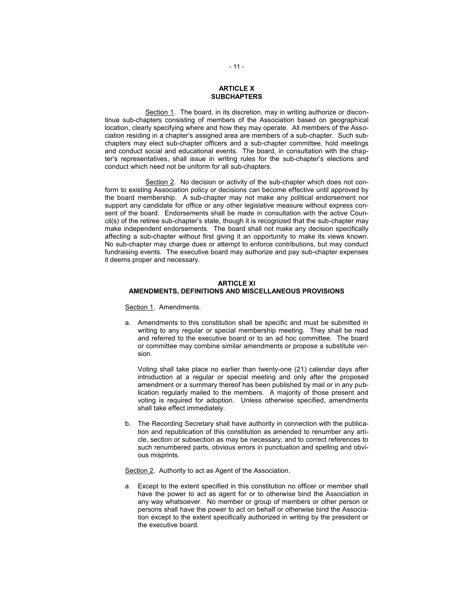# **ARTICLE X SUBCHAPTERS**

Section 1. The board, in its discretion, may in writing authorize or discontinue sub-chapters consisting of members of the Association based on geographical location, clearly specifying where and how they may operate. All members of the Association residing in a chapter's assigned area are members of a sub-chapter. Such subchapters may elect sub-chapter officers and a sub-chapter committee, hold meetings and conduct social and educational events. The board, in consultation with the chapter's representatives, shall issue in writing rules for the sub-chapter's elections and conduct which need not be uniform for all sub-chapters.

Section 2. No decision or activity of the sub-chapter which does not conform to existing Association policy or decisions can become effective until approved by the board membership. A sub-chapter may not make any political endorsement nor support any candidate for office or any other legislative measure without express consent of the board. Endorsements shall be made in consultation with the active Coun $ci$ (s) of the retiree sub-chapter's state, though it is recognized that the sub-chapter may make independent endorsements. The board shall not make any decision specifically affecting a sub-chapter without first giving it an opportunity to make its views known. No sub-chapter may charge dues or attempt to enforce contributions, but may conduct fundraising events. The executive board may authorize and pay sub-chapter expenses it deems proper and necessary.

#### **ARTICLE XI AMENDMENTS, DEFINITIONS AND MISCELLANEOUS PROVISIONS**

Section 1. Amendments.

a. Amendments to this constitution shall be specific and must be submitted in writing to any regular or special membership meeting. They shall be read and referred to the executive board or to an ad hoc committee. The board or committee may combine similar amendments or propose a substitute version.

Voting shall take place no earlier than twenty-one (21) calendar days after introduction at a regular or special meeting and only after the proposed amendment or a summary thereof has been published by mail or in any publication regularly mailed to the members. A majority of those present and voting is required for adoption. Unless otherwise specified, amendments shall take effect immediately.

b. The Recording Secretary shall have authority in connection with the publication and republication of this constitution as amended to renumber any article, section or subsection as may be necessary, and to correct references to such renumbered parts, obvious errors in punctuation and spelling and obvious misprints.

Section 2. Authority to act as Agent of the Association.

a. Except to the extent specified in this constitution no officer or member shall have the power to act as agent for or to otherwise bind the Association in any way whatsoever. No member or group of members or other person or persons shall have the power to act on behalf or otherwise bind the Association except to the extent specifically authorized in writing by the president or the executive board.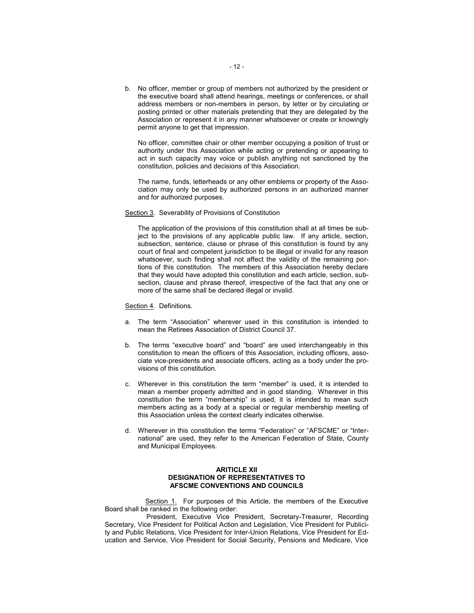b. No officer, member or group of members not authorized by the president or the executive board shall attend hearings, meetings or conferences, or shall address members or non-members in person, by letter or by circulating or posting printed or other materials pretending that they are delegated by the Association or represent it in any manner whatsoever or create or knowingly permit anyone to get that impression.

No officer, committee chair or other member occupying a position of trust or authority under this Association while acting or pretending or appearing to act in such capacity may voice or publish anything not sanctioned by the constitution, policies and decisions of this Association.

The name, funds, letterheads or any other emblems or property of the Association may only be used by authorized persons in an authorized manner and for authorized purposes.

#### Section 3. Severability of Provisions of Constitution

The application of the provisions of this constitution shall at all times be subject to the provisions of any applicable public law. If any article, section, subsection, sentence, clause or phrase of this constitution is found by any court of final and competent jurisdiction to be illegal or invalid for any reason whatsoever, such finding shall not affect the validity of the remaining portions of this constitution. The members of this Association hereby declare that they would have adopted this constitution and each article, section, subsection, clause and phrase thereof, irrespective of the fact that any one or more of the same shall be declared illegal or invalid.

#### Section 4. Definitions.

- a. The term "Association" wherever used in this constitution is intended to mean the Retirees Association of District Council 37.
- b. The terms "executive board" and "board" are used interchangeably in this constitution to mean the officers of this Association, including officers, associate vice-presidents and associate officers, acting as a body under the provisions of this constitution.
- c. Wherever in this constitution the term "member" is used, it is intended to mean a member properly admitted and in good standing. Wherever in this constitution the term "membership" is used, it is intended to mean such members acting as a body at a special or regular membership meeting of this Association unless the context clearly indicates otherwise.
- d. Wherever in this constitution the terms "Federation" or "AFSCME" or "International" are used, they refer to the American Federation of State, County and Municipal Employees.

## **ARITICLE XII DESIGNATION OF REPRESENTATIVES TO AFSCME CONVENTIONS AND COUNCILS**

Section 1. For purposes of this Article, the members of the Executive Board shall be ranked in the following order:

 President, Executive Vice President, Secretary-Treasurer, Recording Secretary, Vice President for Political Action and Legislation, Vice President for Publicity and Public Relations, Vice President for Inter-Union Relations, Vice President for Education and Service, Vice President for Social Security, Pensions and Medicare, Vice